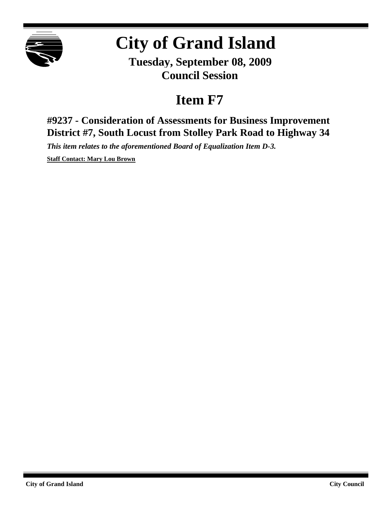

# **City of Grand Island**

**Tuesday, September 08, 2009 Council Session**

## **Item F7**

**#9237 - Consideration of Assessments for Business Improvement District #7, South Locust from Stolley Park Road to Highway 34**

*This item relates to the aforementioned Board of Equalization Item D-3.*

**Staff Contact: Mary Lou Brown**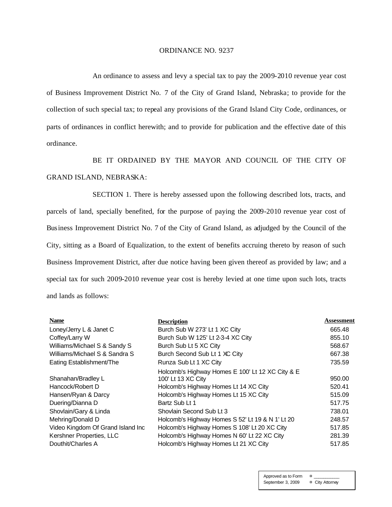#### ORDINANCE NO. 9237

An ordinance to assess and levy a special tax to pay the 2009-2010 revenue year cost of Business Improvement District No. 7 of the City of Grand Island, Nebraska; to provide for the collection of such special tax; to repeal any provisions of the Grand Island City Code, ordinances, or parts of ordinances in conflict herewith; and to provide for publication and the effective date of this ordinance.

BE IT ORDAINED BY THE MAYOR AND COUNCIL OF THE CITY OF GRAND ISLAND, NEBRASKA:

SECTION 1. There is hereby assessed upon the following described lots, tracts, and parcels of land, specially benefited, for the purpose of paying the 2009-2010 revenue year cost of Business Improvement District No. 7 of the City of Grand Island, as adjudged by the Council of the City, sitting as a Board of Equalization, to the extent of benefits accruing thereto by reason of such Business Improvement District, after due notice having been given thereof as provided by law; and a special tax for such 2009-2010 revenue year cost is hereby levied at one time upon such lots, tracts and lands as follows:

| <b>Name</b>                       | <b>Description</b>                               | Assessment |
|-----------------------------------|--------------------------------------------------|------------|
| Loney/Jerry L & Janet C           | Burch Sub W 273' Lt 1 XC City                    | 665.48     |
| Coffey/Larry W                    | Burch Sub W 125' Lt 2-3-4 XC City                | 855.10     |
| Williams/Michael S & Sandy S      | Burch Sub Lt 5 XC City                           | 568.67     |
| Williams/Michael S & Sandra S     | Burch Second Sub Lt 1 XC City                    | 667.38     |
| Eating Establishment/The          | Runza Sub Lt 1 XC City                           | 735.59     |
|                                   | Holcomb's Highway Homes E 100' Lt 12 XC City & E |            |
| Shanahan/Bradley L                | 100' Lt 13 XC City                               | 950.00     |
| Hancock/Robert D                  | Holcomb's Highway Homes Lt 14 XC City            | 520.41     |
| Hansen/Ryan & Darcy               | Holcomb's Highway Homes Lt 15 XC City            | 515.09     |
| Duering/Dianna D                  | Bartz Sub Lt 1                                   | 517.75     |
| Shovlain/Gary & Linda             | Shovlain Second Sub Lt 3                         | 738.01     |
| Mehring/Donald D                  | Holcomb's Highway Homes S 52' Lt 19 & N 1' Lt 20 | 248.57     |
| Video Kingdom Of Grand Island Inc | Holcomb's Highway Homes S 108' Lt 20 XC City     | 517.85     |
| Kershner Properties, LLC          | Holcomb's Highway Homes N 60' Lt 22 XC City      | 281.39     |
| Douthit/Charles A                 | Holcomb's Highway Homes Lt 21 XC City            | 517.85     |

Approved as to Form ¤ \_\_\_\_\_\_\_\_\_\_\_ September 3, 2009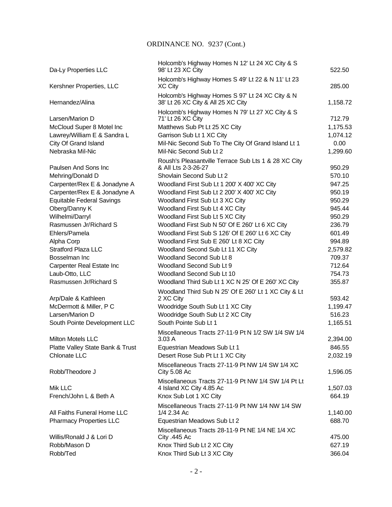### ORDINANCE NO. 9237 (Cont.)

| Da-Ly Properties LLC                      | Holcomb's Highway Homes N 12' Lt 24 XC City & S<br>98' Lt 23 XC City                                | 522.50           |
|-------------------------------------------|-----------------------------------------------------------------------------------------------------|------------------|
| Kershner Properties, LLC                  | Holcomb's Highway Homes S 49' Lt 22 & N 11' Lt 23<br><b>XC City</b>                                 | 285.00           |
|                                           |                                                                                                     |                  |
| Hernandez/Alina                           | Holcomb's Highway Homes S 97' Lt 24 XC City & N<br>38' Lt 26 XC City & All 25 XC City               | 1,158.72         |
| Larsen/Marion D                           | Holcomb's Highway Homes N 79' Lt 27 XC City & S<br>71' Lt 26 XC City                                | 712.79           |
| McCloud Super 8 Motel Inc                 | Matthews Sub Pt Lt 25 XC City                                                                       | 1,175.53         |
| Lawrey/William E & Sandra L               | Garrison Sub Lt 1 XC City                                                                           | 1,074.12         |
| City Of Grand Island                      | Mil-Nic Second Sub To The City Of Grand Island Lt 1                                                 | 0.00             |
| Nebraska Mil-Nic                          | Mil-Nic Second Sub Lt 2                                                                             | 1,299.60         |
|                                           | Roush's Pleasantville Terrace Sub Lts 1 & 28 XC City                                                |                  |
| Paulsen And Sons Inc                      | & All Lts 2-3-26-27                                                                                 | 950.29           |
| Mehring/Donald D                          | Shovlain Second Sub Lt 2                                                                            | 570.10           |
| Carpenter/Rex E & Jonadyne A              | Woodland First Sub Lt 1 200' X 400' XC City                                                         | 947.25           |
| Carpenter/Rex E & Jonadyne A              | Woodland First Sub Lt 2 200' X 400' XC City                                                         | 950.19           |
| <b>Equitable Federal Savings</b>          | Woodland First Sub Lt 3 XC City                                                                     | 950.29           |
| Oberg/Danny K                             | Woodland First Sub Lt 4 XC City                                                                     | 945.44           |
| Wilhelmi/Darryl<br>Rasmussen Jr/Richard S | Woodland First Sub Lt 5 XC City                                                                     | 950.29<br>236.79 |
| Ehlers/Pamela                             | Woodland First Sub N 50' Of E 260' Lt 6 XC City<br>Woodland First Sub S 126' Of E 260' Lt 6 XC City | 601.49           |
| Alpha Corp                                | Woodland First Sub E 260' Lt 8 XC City                                                              | 994.89           |
| <b>Stratford Plaza LLC</b>                | Woodland Second Sub Lt 11 XC City                                                                   | 2,579.82         |
| Bosselman Inc                             | Woodland Second Sub Lt 8                                                                            | 709.37           |
| Carpenter Real Estate Inc                 | Woodland Second Sub Lt 9                                                                            | 712.64           |
| Laub-Otto, LLC                            | Woodland Second Sub Lt 10                                                                           | 754.73           |
| Rasmussen Jr/Richard S                    | Woodland Third Sub Lt 1 XC N 25' Of E 260' XC City                                                  | 355.87           |
|                                           | Woodland Third Sub N 25' Of E 260' Lt 1 XC City & Lt                                                |                  |
| Arp/Dale & Kathleen                       | 2 XC City                                                                                           | 593.42           |
| McDermott & Miller, P C                   | Woodridge South Sub Lt 1 XC City                                                                    | 1,199.47         |
| Larsen/Marion D                           | Woodridge South Sub Lt 2 XC City                                                                    | 516.23           |
| South Pointe Development LLC              | South Pointe Sub Lt 1                                                                               | 1,165.51         |
|                                           | Miscellaneous Tracts 27-11-9 Pt N 1/2 SW 1/4 SW 1/4                                                 |                  |
| Milton Motels LLC                         | 3.03 A                                                                                              | 2,394.00         |
| Platte Valley State Bank & Trust          | Equestrian Meadows Sub Lt 1                                                                         | 846.55           |
| Chlonate LLC                              | Desert Rose Sub Pt Lt 1 XC City                                                                     | 2,032.19         |
| Robb/Theodore J                           | Miscellaneous Tracts 27-11-9 Pt NW 1/4 SW 1/4 XC<br><b>City 5.08 Ac</b>                             | 1,596.05         |
|                                           | Miscellaneous Tracts 27-11-9 Pt NW 1/4 SW 1/4 Pt Lt                                                 |                  |
| Mik LLC                                   | 4 Island XC City 4.85 Ac                                                                            | 1,507.03         |
| French/John L & Beth A                    | Knox Sub Lot 1 XC City                                                                              | 664.19           |
| All Faiths Funeral Home LLC               | Miscellaneous Tracts 27-11-9 Pt NW 1/4 NW 1/4 SW<br>1/4 2.34 Ac                                     | 1,140.00         |
| <b>Pharmacy Properties LLC</b>            | Equestrian Meadows Sub Lt 2                                                                         | 688.70           |
|                                           | Miscellaneous Tracts 28-11-9 Pt NE 1/4 NE 1/4 XC                                                    |                  |
| Willis/Ronald J & Lori D                  | City .445 Ac                                                                                        | 475.00           |
| Robb/Mason D                              | Knox Third Sub Lt 2 XC City                                                                         | 627.19           |
| Robb/Ted                                  | Knox Third Sub Lt 3 XC City                                                                         | 366.04           |